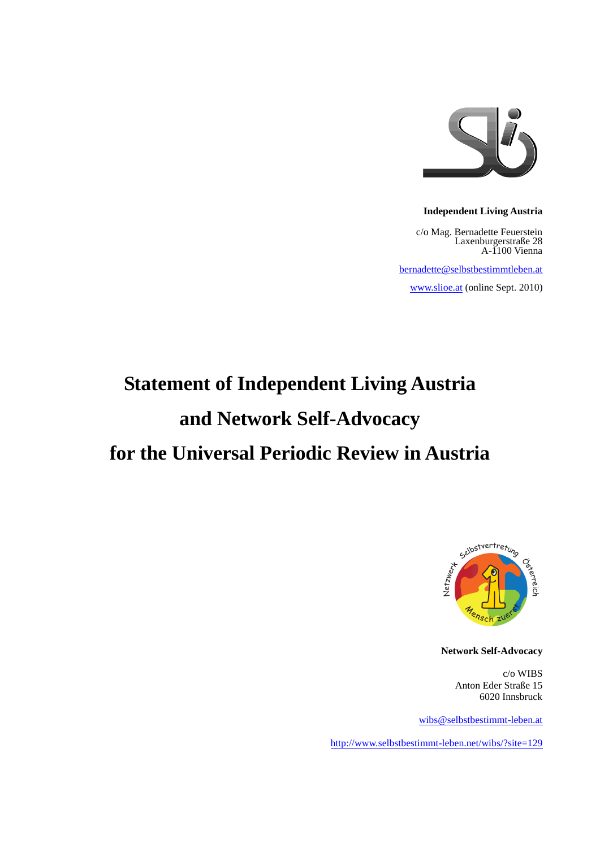

#### **Independent Living Austria**

c/o Mag. Bernadette Feuerstein Laxenburgerstraße 28 A-1100 Vienna

[bernadette@selbstbestimmtleben.at](mailto:bernadette@selbstbestimmtleben.at)

[www.slioe.at](http://www.slioe.at/) (online Sept. 2010)

# **Statement of Independent Living Austria and Network Self-Advocacy for the Universal Periodic Review in Austria**



**Network Self-Advocacy**

c/o WIBS Anton Eder Straße 15 6020 Innsbruck

[wibs@selbstbestimmt-leben.at](mailto:wibs@selbstbestimmt-leben.at)

<http://www.selbstbestimmt-leben.net/wibs/?site=129>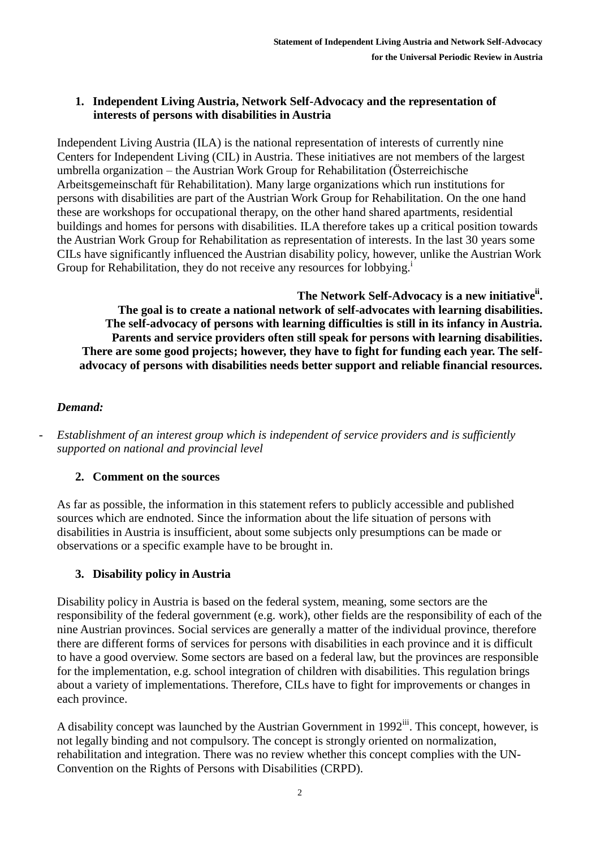### **1. Independent Living Austria, Network Self-Advocacy and the representation of interests of persons with disabilities in Austria**

Independent Living Austria (ILA) is the national representation of interests of currently nine Centers for Independent Living (CIL) in Austria. These initiatives are not members of the largest umbrella organization – the Austrian Work Group for Rehabilitation (Österreichische Arbeitsgemeinschaft für Rehabilitation). Many large organizations which run institutions for persons with disabilities are part of the Austrian Work Group for Rehabilitation. On the one hand these are workshops for occupational therapy, on the other hand shared apartments, residential buildings and homes for persons with disabilities. ILA therefore takes up a critical position towards the Austrian Work Group for Rehabilitation as representation of interests. In the last 30 years some CILs have significantly influenced the Austrian disability policy, however, unlike the Austrian Work Group for Rehabilitation, they do not receive any resources for lobbying.<sup>1</sup>

**The Network Self-Advocacy is a new initiativeii . The goal is to create a national network of self-advocates with learning disabilities. The self-advocacy of persons with learning difficulties is still in its infancy in Austria. Parents and service providers often still speak for persons with learning disabilities. There are some good projects; however, they have to fight for funding each year. The selfadvocacy of persons with disabilities needs better support and reliable financial resources.** 

# *Demand:*

- *Establishment of an interest group which is independent of service providers and is sufficiently supported on national and provincial level*

# **2. Comment on the sources**

As far as possible, the information in this statement refers to publicly accessible and published sources which are endnoted. Since the information about the life situation of persons with disabilities in Austria is insufficient, about some subjects only presumptions can be made or observations or a specific example have to be brought in.

# **3. Disability policy in Austria**

Disability policy in Austria is based on the federal system, meaning, some sectors are the responsibility of the federal government (e.g. work), other fields are the responsibility of each of the nine Austrian provinces. Social services are generally a matter of the individual province, therefore there are different forms of services for persons with disabilities in each province and it is difficult to have a good overview. Some sectors are based on a federal law, but the provinces are responsible for the implementation, e.g. school integration of children with disabilities. This regulation brings about a variety of implementations. Therefore, CILs have to fight for improvements or changes in each province.

A disability concept was launched by the Austrian Government in 1992<sup>iii</sup>. This concept, however, is not legally binding and not compulsory. The concept is strongly oriented on normalization, rehabilitation and integration. There was no review whether this concept complies with the UN-Convention on the Rights of Persons with Disabilities (CRPD).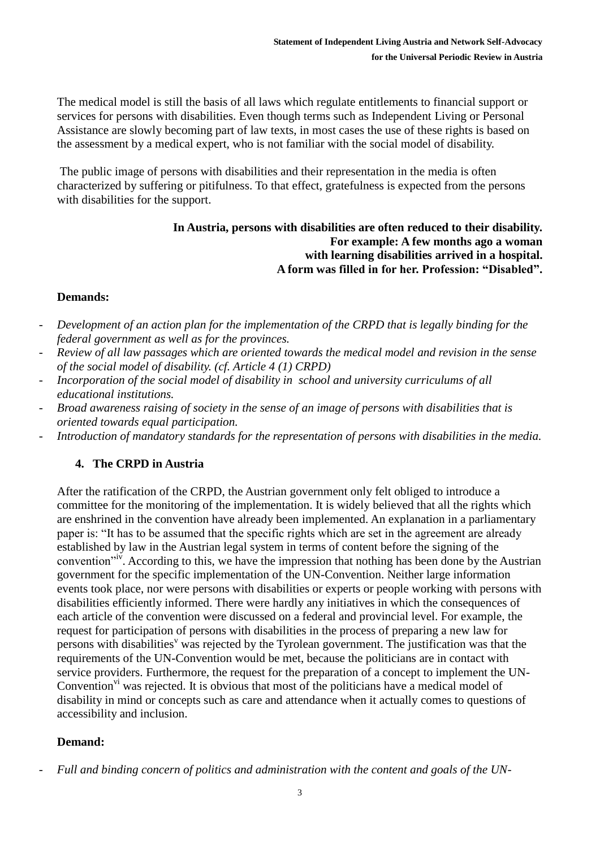The medical model is still the basis of all laws which regulate entitlements to financial support or services for persons with disabilities. Even though terms such as Independent Living or Personal Assistance are slowly becoming part of law texts, in most cases the use of these rights is based on the assessment by a medical expert, who is not familiar with the social model of disability.

The public image of persons with disabilities and their representation in the media is often characterized by suffering or pitifulness. To that effect, gratefulness is expected from the persons with disabilities for the support.

#### **In Austria, persons with disabilities are often reduced to their disability. For example: A few months ago a woman with learning disabilities arrived in a hospital. A form was filled in for her. Profession: "Disabled".**

# **Demands:**

- *Development of an action plan for the implementation of the CRPD that is legally binding for the federal government as well as for the provinces.*
- *Review of all law passages which are oriented towards the medical model and revision in the sense of the social model of disability. (cf. Article 4 (1) CRPD)*
- *Incorporation of the social model of disability in school and university curriculums of all educational institutions.*
- *Broad awareness raising of society in the sense of an image of persons with disabilities that is oriented towards equal participation.*
- *Introduction of mandatory standards for the representation of persons with disabilities in the media.*

# **4. The CRPD in Austria**

After the ratification of the CRPD, the Austrian government only felt obliged to introduce a committee for the monitoring of the implementation. It is widely believed that all the rights which are enshrined in the convention have already been implemented. An explanation in a parliamentary paper is: "It has to be assumed that the specific rights which are set in the agreement are already established by law in the Austrian legal system in terms of content before the signing of the convention<sup>"iv</sup>. According to this, we have the impression that nothing has been done by the Austrian government for the specific implementation of the UN-Convention. Neither large information events took place, nor were persons with disabilities or experts or people working with persons with disabilities efficiently informed. There were hardly any initiatives in which the consequences of each article of the convention were discussed on a federal and provincial level. For example, the request for participation of persons with disabilities in the process of preparing a new law for persons with disabilities<sup>v</sup> was rejected by the Tyrolean government. The justification was that the requirements of the UN-Convention would be met, because the politicians are in contact with service providers. Furthermore, the request for the preparation of a concept to implement the UN-Convention<sup>vi</sup> was rejected. It is obvious that most of the politicians have a medical model of disability in mind or concepts such as care and attendance when it actually comes to questions of accessibility and inclusion.

#### **Demand:**

<sup>-</sup> *Full and binding concern of politics and administration with the content and goals of the UN-*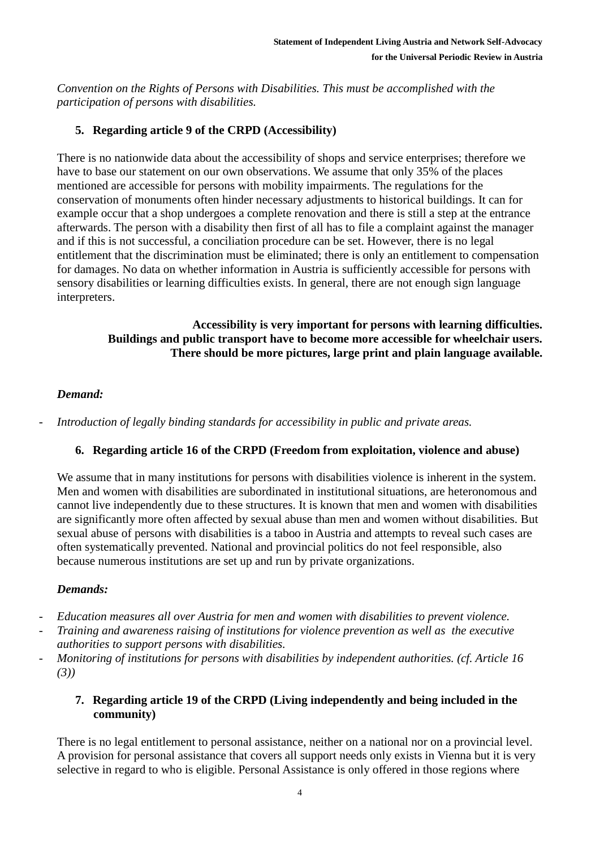*Convention on the Rights of Persons with Disabilities. This must be accomplished with the participation of persons with disabilities.* 

# **5. Regarding article 9 of the CRPD (Accessibility)**

There is no nationwide data about the accessibility of shops and service enterprises; therefore we have to base our statement on our own observations. We assume that only 35% of the places mentioned are accessible for persons with mobility impairments. The regulations for the conservation of monuments often hinder necessary adjustments to historical buildings. It can for example occur that a shop undergoes a complete renovation and there is still a step at the entrance afterwards. The person with a disability then first of all has to file a complaint against the manager and if this is not successful, a conciliation procedure can be set. However, there is no legal entitlement that the discrimination must be eliminated; there is only an entitlement to compensation for damages. No data on whether information in Austria is sufficiently accessible for persons with sensory disabilities or learning difficulties exists. In general, there are not enough sign language interpreters.

> **Accessibility is very important for persons with learning difficulties. Buildings and public transport have to become more accessible for wheelchair users. There should be more pictures, large print and plain language available.**

# *Demand:*

- *Introduction of legally binding standards for accessibility in public and private areas.*

# **6. Regarding article 16 of the CRPD (Freedom from exploitation, violence and abuse)**

We assume that in many institutions for persons with disabilities violence is inherent in the system. Men and women with disabilities are subordinated in institutional situations, are heteronomous and cannot live independently due to these structures. It is known that men and women with disabilities are significantly more often affected by sexual abuse than men and women without disabilities. But sexual abuse of persons with disabilities is a taboo in Austria and attempts to reveal such cases are often systematically prevented. National and provincial politics do not feel responsible, also because numerous institutions are set up and run by private organizations.

# *Demands:*

- *Education measures all over Austria for men and women with disabilities to prevent violence.*
- *Training and awareness raising of institutions for violence prevention as well as the executive authorities to support persons with disabilities.*
- *Monitoring of institutions for persons with disabilities by independent authorities. (cf. Article 16 (3))*

# **7. Regarding article 19 of the CRPD (Living independently and being included in the community)**

There is no legal entitlement to personal assistance, neither on a national nor on a provincial level. A provision for personal assistance that covers all support needs only exists in Vienna but it is very selective in regard to who is eligible. Personal Assistance is only offered in those regions where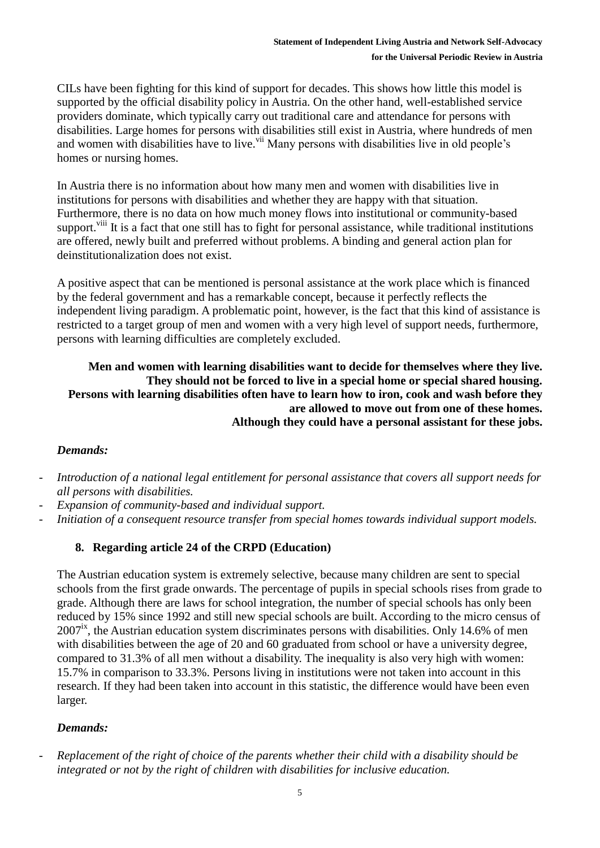CILs have been fighting for this kind of support for decades. This shows how little this model is supported by the official disability policy in Austria. On the other hand, well-established service providers dominate, which typically carry out traditional care and attendance for persons with disabilities. Large homes for persons with disabilities still exist in Austria, where hundreds of men and women with disabilities have to live.<sup>vii</sup> Many persons with disabilities live in old people's homes or nursing homes.

In Austria there is no information about how many men and women with disabilities live in institutions for persons with disabilities and whether they are happy with that situation. Furthermore, there is no data on how much money flows into institutional or community-based support.<sup>viii</sup> It is a fact that one still has to fight for personal assistance, while traditional institutions are offered, newly built and preferred without problems. A binding and general action plan for deinstitutionalization does not exist.

A positive aspect that can be mentioned is personal assistance at the work place which is financed by the federal government and has a remarkable concept, because it perfectly reflects the independent living paradigm. A problematic point, however, is the fact that this kind of assistance is restricted to a target group of men and women with a very high level of support needs, furthermore, persons with learning difficulties are completely excluded.

**Men and women with learning disabilities want to decide for themselves where they live. They should not be forced to live in a special home or special shared housing. Persons with learning disabilities often have to learn how to iron, cook and wash before they are allowed to move out from one of these homes. Although they could have a personal assistant for these jobs.**

#### *Demands:*

- *Introduction of a national legal entitlement for personal assistance that covers all support needs for all persons with disabilities.*
- Expansion of community-based and individual support.
- *Initiation of a consequent resource transfer from special homes towards individual support models.*

# **8. Regarding article 24 of the CRPD (Education)**

The Austrian education system is extremely selective, because many children are sent to special schools from the first grade onwards. The percentage of pupils in special schools rises from grade to grade. Although there are laws for school integration, the number of special schools has only been reduced by 15% since 1992 and still new special schools are built. According to the micro census of  $2007<sup>ix</sup>$ , the Austrian education system discriminates persons with disabilities. Only 14.6% of men with disabilities between the age of 20 and 60 graduated from school or have a university degree, compared to 31.3% of all men without a disability. The inequality is also very high with women: 15.7% in comparison to 33.3%. Persons living in institutions were not taken into account in this research. If they had been taken into account in this statistic, the difference would have been even larger.

#### *Demands:*

- *Replacement of the right of choice of the parents whether their child with a disability should be integrated or not by the right of children with disabilities for inclusive education.*